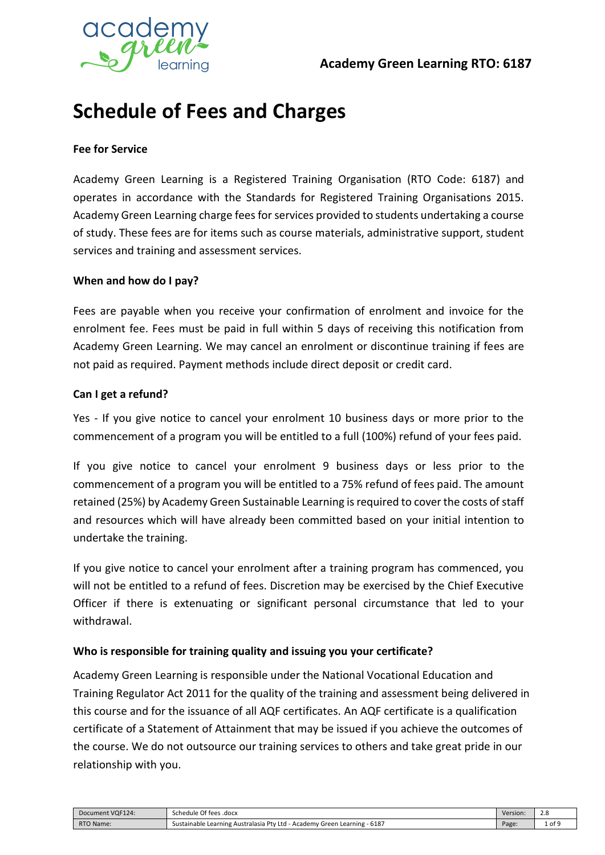

# **Schedule of Fees and Charges**

#### **Fee for Service**

Academy Green Learning is a Registered Training Organisation (RTO Code: 6187) and operates in accordance with the Standards for Registered Training Organisations 2015. Academy Green Learning charge fees for services provided to students undertaking a course of study. These fees are for items such as course materials, administrative support, student services and training and assessment services.

#### **When and how do I pay?**

Fees are payable when you receive your confirmation of enrolment and invoice for the enrolment fee. Fees must be paid in full within 5 days of receiving this notification from Academy Green Learning. We may cancel an enrolment or discontinue training if fees are not paid as required. Payment methods include direct deposit or credit card.

#### **Can I get a refund?**

Yes - If you give notice to cancel your enrolment 10 business days or more prior to the commencement of a program you will be entitled to a full (100%) refund of your fees paid.

If you give notice to cancel your enrolment 9 business days or less prior to the commencement of a program you will be entitled to a 75% refund of fees paid. The amount retained (25%) by Academy Green Sustainable Learning isrequired to cover the costs of staff and resources which will have already been committed based on your initial intention to undertake the training.

If you give notice to cancel your enrolment after a training program has commenced, you will not be entitled to a refund of fees. Discretion may be exercised by the Chief Executive Officer if there is extenuating or significant personal circumstance that led to your withdrawal.

#### **Who is responsible for training quality and issuing you your certificate?**

Academy Green Learning is responsible under the National Vocational Education and Training Regulator Act 2011 for the quality of the training and assessment being delivered in this course and for the issuance of all AQF certificates. An AQF certificate is a qualification certificate of a Statement of Attainment that may be issued if you achieve the outcomes of the course. We do not outsource our training services to others and take great pride in our relationship with you.

Document VQF124: Schedule Of fees .docx Version: 2.8 RTO Name: Sustainable Learning Australasia Pty Ltd - Academy Green Learning - 6187 Page: 1 of 9 Page: 1 of 9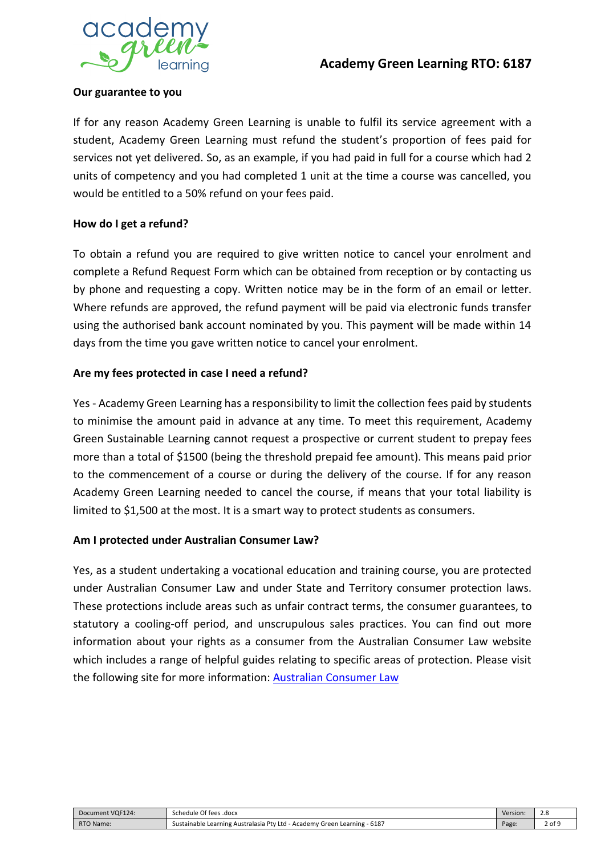

#### **Our guarantee to you**

If for any reason Academy Green Learning is unable to fulfil its service agreement with a student, Academy Green Learning must refund the student's proportion of fees paid for services not yet delivered. So, as an example, if you had paid in full for a course which had 2 units of competency and you had completed 1 unit at the time a course was cancelled, you would be entitled to a 50% refund on your fees paid.

#### **How do I get a refund?**

To obtain a refund you are required to give written notice to cancel your enrolment and complete a Refund Request Form which can be obtained from reception or by contacting us by phone and requesting a copy. Written notice may be in the form of an email or letter. Where refunds are approved, the refund payment will be paid via electronic funds transfer using the authorised bank account nominated by you. This payment will be made within 14 days from the time you gave written notice to cancel your enrolment.

#### **Are my fees protected in case I need a refund?**

Yes - Academy Green Learning has a responsibility to limit the collection fees paid by students to minimise the amount paid in advance at any time. To meet this requirement, Academy Green Sustainable Learning cannot request a prospective or current student to prepay fees more than a total of \$1500 (being the threshold prepaid fee amount). This means paid prior to the commencement of a course or during the delivery of the course. If for any reason Academy Green Learning needed to cancel the course, if means that your total liability is limited to \$1,500 at the most. It is a smart way to protect students as consumers.

#### **Am I protected under Australian Consumer Law?**

Yes, as a student undertaking a vocational education and training course, you are protected under Australian Consumer Law and under State and Territory consumer protection laws. These protections include areas such as unfair contract terms, the consumer guarantees, to statutory a cooling-off period, and unscrupulous sales practices. You can find out more information about your rights as a consumer from the Australian Consumer Law website which includes a range of helpful guides relating to specific areas of protection. Please visit the following site for more information: **Australian Consumer Law** 

| Document VQF124: | Of fees .docx<br>Schedule                                                                            | Version: | Z.C            |
|------------------|------------------------------------------------------------------------------------------------------|----------|----------------|
| RTO Name.        | Learning - 6187<br>! Australasia Ptv<br>u - Academv<br>Ltd<br>Green<br>Sustainable<br>Learning<br>__ | Page.    | ີດ f<br>Z UI : |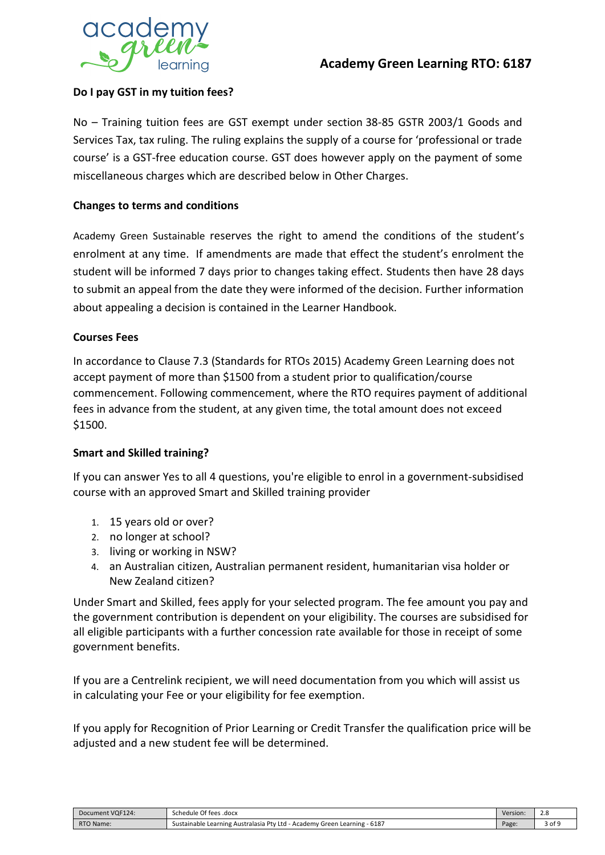

#### **Do I pay GST in my tuition fees?**

No – Training tuition fees are GST exempt under section 38-85 GSTR 2003/1 Goods and Services Tax, tax ruling. The ruling explains the supply of a course for 'professional or trade course' is a GST-free education course. GST does however apply on the payment of some miscellaneous charges which are described below in Other Charges.

#### **Changes to terms and conditions**

Academy Green Sustainable reserves the right to amend the conditions of the student's enrolment at any time. If amendments are made that effect the student's enrolment the student will be informed 7 days prior to changes taking effect. Students then have 28 days to submit an appeal from the date they were informed of the decision. Further information about appealing a decision is contained in the Learner Handbook.

#### **Courses Fees**

In accordance to Clause 7.3 (Standards for RTOs 2015) Academy Green Learning does not accept payment of more than \$1500 from a student prior to qualification/course commencement. Following commencement, where the RTO requires payment of additional fees in advance from the student, at any given time, the total amount does not exceed \$1500.

#### **Smart and Skilled training?**

If you can answer Yes to all 4 questions, you're eligible to enrol in a government-subsidised course with an approved Smart and Skilled training provider

- 1. 15 years old or over?
- 2. no longer at school?
- 3. living or working in NSW?
- 4. an Australian citizen, Australian permanent resident, humanitarian visa holder or New Zealand citizen?

Under Smart and Skilled, fees apply for your selected program. The fee amount you pay and the government contribution is dependent on your eligibility. The courses are subsidised for all eligible participants with a further concession rate available for those in receipt of some government benefits.

If you are a Centrelink recipient, we will need documentation from you which will assist us in calculating your Fee or your eligibility for fee exemption.

If you apply for Recognition of Prior Learning or Credit Transfer the qualification price will be adjusted and a new student fee will be determined.

| Document VQF124: | Schedule Of fees .docx                                                                       | Version: | Z.C    |
|------------------|----------------------------------------------------------------------------------------------|----------|--------|
| RTO Name:        | Green Learning - 6187<br>: Learning Australasia Ptv<br>v Ltd - Academy<br>Sustainable<br>. . | Page.    | 3 of 9 |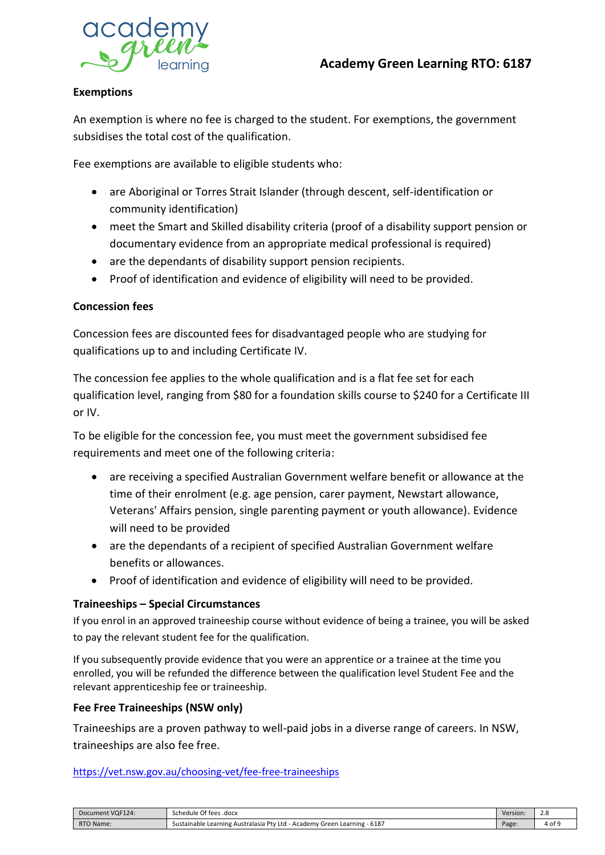

#### **Exemptions**

An exemption is where no fee is charged to the student. For exemptions, the government subsidises the total cost of the qualification.

Fee exemptions are available to eligible students who:

- are Aboriginal or Torres Strait Islander (through descent, self-identification or community identification)
- meet the Smart and Skilled disability criteria (proof of a disability support pension or documentary evidence from an appropriate medical professional is required)
- are the dependants of disability support pension recipients.
- Proof of identification and evidence of eligibility will need to be provided.

#### **Concession fees**

Concession fees are discounted fees for disadvantaged people who are studying for qualifications up to and including Certificate IV.

The concession fee applies to the whole qualification and is a flat fee set for each qualification level, ranging from \$80 for a foundation skills course to \$240 for a Certificate III or IV.

To be eligible for the concession fee, you must meet the government subsidised fee requirements and meet one of the following criteria:

- are receiving a specified Australian Government welfare benefit or allowance at the time of their enrolment (e.g. age pension, carer payment, Newstart allowance, Veterans' Affairs pension, single parenting payment or youth allowance). Evidence will need to be provided
- are the dependants of a recipient of specified Australian Government welfare benefits or allowances.
- Proof of identification and evidence of eligibility will need to be provided.

#### **Traineeships – Special Circumstances**

If you enrol in an approved traineeship course without evidence of being a trainee, you will be asked to pay the relevant student fee for the qualification.

If you subsequently provide evidence that you were an apprentice or a trainee at the time you enrolled, you will be refunded the difference between the qualification level Student Fee and the relevant apprenticeship fee or traineeship.

#### **Fee Free Traineeships (NSW only)**

Traineeships are a proven pathway to well-paid jobs in a diverse range of careers. In NSW, traineeships are also fee free.

<https://vet.nsw.gov.au/choosing-vet/fee-free-traineeships>

| Document VQF124: | Of fees .docx<br>Schedule                                                                                         | Version: | $\sim$<br>ں ـ<br>$\sim$ |
|------------------|-------------------------------------------------------------------------------------------------------------------|----------|-------------------------|
| <b>RTO Name:</b> | 1 Learning - 6187<br>e Learning Australasia Ptv '<br>Sustainable<br>7 Ltd - Academy Green<br>$-$<br>$\sim$ $\sim$ | Page:    | 4 of 9                  |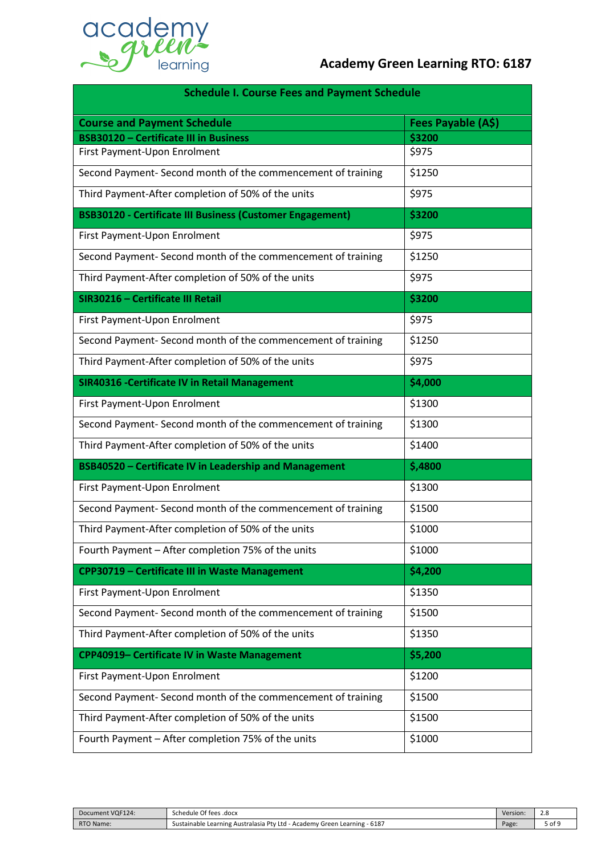

| <b>Schedule I. Course Fees and Payment Schedule</b>              |                    |  |  |
|------------------------------------------------------------------|--------------------|--|--|
| <b>Course and Payment Schedule</b>                               | Fees Payable (A\$) |  |  |
| <b>BSB30120 - Certificate III in Business</b>                    | \$3200             |  |  |
| First Payment-Upon Enrolment                                     | \$975              |  |  |
| Second Payment- Second month of the commencement of training     | \$1250             |  |  |
| Third Payment-After completion of 50% of the units               | \$975              |  |  |
| <b>BSB30120 - Certificate III Business (Customer Engagement)</b> | \$3200             |  |  |
| First Payment-Upon Enrolment                                     | \$975              |  |  |
| Second Payment- Second month of the commencement of training     | \$1250             |  |  |
| Third Payment-After completion of 50% of the units               | \$975              |  |  |
| SIR30216 - Certificate III Retail                                | \$3200             |  |  |
| First Payment-Upon Enrolment                                     | \$975              |  |  |
| Second Payment- Second month of the commencement of training     | \$1250             |  |  |
| Third Payment-After completion of 50% of the units               | \$975              |  |  |
| <b>SIR40316 - Certificate IV in Retail Management</b>            | \$4,000            |  |  |
| First Payment-Upon Enrolment                                     | \$1300             |  |  |
| Second Payment- Second month of the commencement of training     | \$1300             |  |  |
| Third Payment-After completion of 50% of the units               | \$1400             |  |  |
| BSB40520 - Certificate IV in Leadership and Management           | \$,4800            |  |  |
| First Payment-Upon Enrolment                                     | \$1300             |  |  |
| Second Payment- Second month of the commencement of training     | \$1500             |  |  |
| Third Payment-After completion of 50% of the units               | \$1000             |  |  |
| Fourth Payment - After completion 75% of the units               | \$1000             |  |  |
| CPP30719 - Certificate III in Waste Management                   | \$4,200            |  |  |
| First Payment-Upon Enrolment                                     | \$1350             |  |  |
| Second Payment- Second month of the commencement of training     | \$1500             |  |  |
| Third Payment-After completion of 50% of the units               | \$1350             |  |  |
| CPP40919- Certificate IV in Waste Management                     | \$5,200            |  |  |
| First Payment-Upon Enrolment                                     | \$1200             |  |  |
| Second Payment- Second month of the commencement of training     | \$1500             |  |  |
| Third Payment-After completion of 50% of the units               | \$1500             |  |  |
| Fourth Payment - After completion 75% of the units               | \$1000             |  |  |

| Document VQF124: | Schedule Of fees .docx                                                                            | Version: | $\sim$<br>ت |
|------------------|---------------------------------------------------------------------------------------------------|----------|-------------|
| RTO Name:        | 6187<br><b>Pty</b><br>Ltd<br>Academy<br>Sustainable Learning Australasia<br>. Learning<br>' Green | Page.    | of !        |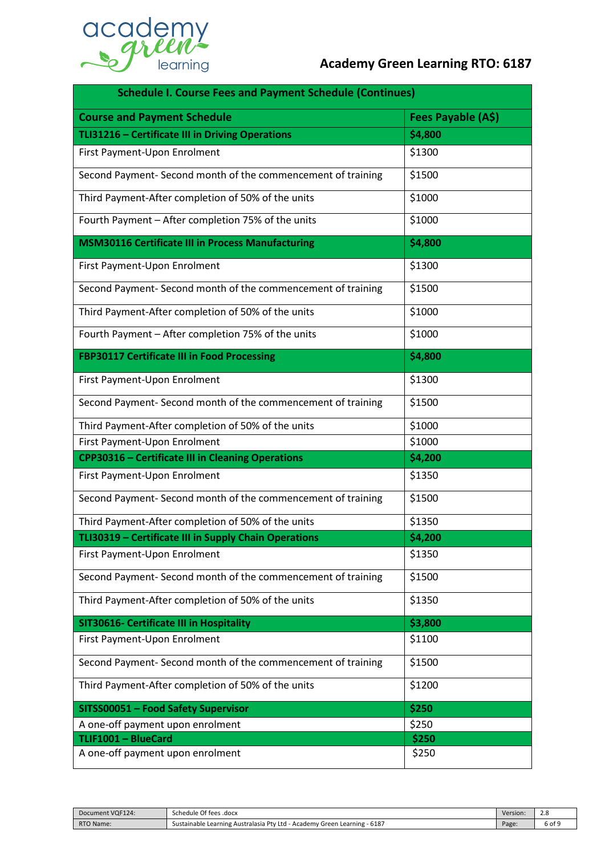

| <b>Schedule I. Course Fees and Payment Schedule (Continues)</b> |                    |  |  |
|-----------------------------------------------------------------|--------------------|--|--|
| <b>Course and Payment Schedule</b>                              | Fees Payable (A\$) |  |  |
| TLI31216 - Certificate III in Driving Operations                | \$4,800            |  |  |
| First Payment-Upon Enrolment                                    | \$1300             |  |  |
| Second Payment- Second month of the commencement of training    | \$1500             |  |  |
| Third Payment-After completion of 50% of the units              | \$1000             |  |  |
| Fourth Payment - After completion 75% of the units              | \$1000             |  |  |
| <b>MSM30116 Certificate III in Process Manufacturing</b>        | \$4,800            |  |  |
| First Payment-Upon Enrolment                                    | \$1300             |  |  |
| Second Payment- Second month of the commencement of training    | \$1500             |  |  |
| Third Payment-After completion of 50% of the units              | \$1000             |  |  |
| Fourth Payment - After completion 75% of the units              | \$1000             |  |  |
| FBP30117 Certificate III in Food Processing                     | \$4,800            |  |  |
| First Payment-Upon Enrolment                                    | \$1300             |  |  |
| Second Payment- Second month of the commencement of training    | \$1500             |  |  |
| Third Payment-After completion of 50% of the units              | \$1000             |  |  |
| First Payment-Upon Enrolment                                    | \$1000             |  |  |
| <b>CPP30316 - Certificate III in Cleaning Operations</b>        | \$4,200            |  |  |
| First Payment-Upon Enrolment                                    | \$1350             |  |  |
| Second Payment- Second month of the commencement of training    | \$1500             |  |  |
| Third Payment-After completion of 50% of the units              | \$1350             |  |  |
| TLI30319 - Certificate III in Supply Chain Operations           | \$4,200            |  |  |
| First Payment-Upon Enrolment                                    | \$1350             |  |  |
| Second Payment- Second month of the commencement of training    | \$1500             |  |  |
| Third Payment-After completion of 50% of the units              | \$1350             |  |  |
| SIT30616- Certificate III in Hospitality                        | \$3,800            |  |  |
| First Payment-Upon Enrolment                                    | \$1100             |  |  |
| Second Payment- Second month of the commencement of training    | \$1500             |  |  |
| Third Payment-After completion of 50% of the units              | \$1200             |  |  |
| SITSS00051 - Food Safety Supervisor                             | \$250              |  |  |
| A one-off payment upon enrolment                                | \$250              |  |  |
| TLIF1001 - BlueCard                                             | \$250              |  |  |
| A one-off payment upon enrolment                                | \$250              |  |  |

| Document VQF124: | Schedule Of fees .docx                                                                          | Version: | $\sim$<br>ت |
|------------------|-------------------------------------------------------------------------------------------------|----------|-------------|
| RTO Name:        | 6187<br><b>Ptv</b><br>Academy<br>Ltd<br>. Learning<br>Sustainable Learning Australasia<br>Green | Page     | ō of S      |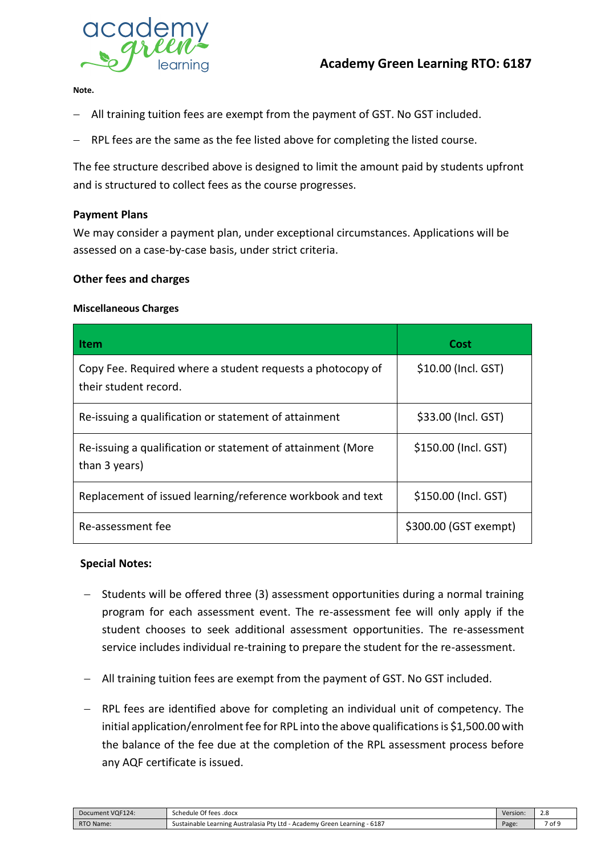

**Note.** 

- − All training tuition fees are exempt from the payment of GST. No GST included.
- − RPL fees are the same as the fee listed above for completing the listed course.

The fee structure described above is designed to limit the amount paid by students upfront and is structured to collect fees as the course progresses.

#### **Payment Plans**

We may consider a payment plan, under exceptional circumstances. Applications will be assessed on a case-by-case basis, under strict criteria.

#### **Other fees and charges**

#### **Miscellaneous Charges**

| l Item                                                                              | Cost                  |
|-------------------------------------------------------------------------------------|-----------------------|
| Copy Fee. Required where a student requests a photocopy of<br>their student record. | \$10.00 (Incl. GST)   |
| Re-issuing a qualification or statement of attainment                               | \$33.00 (Incl. GST)   |
| Re-issuing a qualification or statement of attainment (More<br>than 3 years)        | \$150.00 (Incl. GST)  |
| Replacement of issued learning/reference workbook and text                          | \$150.00 (Incl. GST)  |
| Re-assessment fee                                                                   | \$300.00 (GST exempt) |

#### **Special Notes:**

- − Students will be offered three (3) assessment opportunities during a normal training program for each assessment event. The re-assessment fee will only apply if the student chooses to seek additional assessment opportunities. The re-assessment service includes individual re-training to prepare the student for the re-assessment.
- − All training tuition fees are exempt from the payment of GST. No GST included.
- − RPL fees are identified above for completing an individual unit of competency. The initial application/enrolment fee for RPL into the above qualifications is \$1,500.00 with the balance of the fee due at the completion of the RPL assessment process before any AQF certificate is issued.

| Document VQF124: | Schedule Of fees .docx                                                                       | Version. | Z.C  |
|------------------|----------------------------------------------------------------------------------------------|----------|------|
| RTO Name:        | - Academy Green Learning - 6187<br>Ptv<br>∙ Ltd<br>Sustainable Learning Australasia I<br>___ | Page:    | of 9 |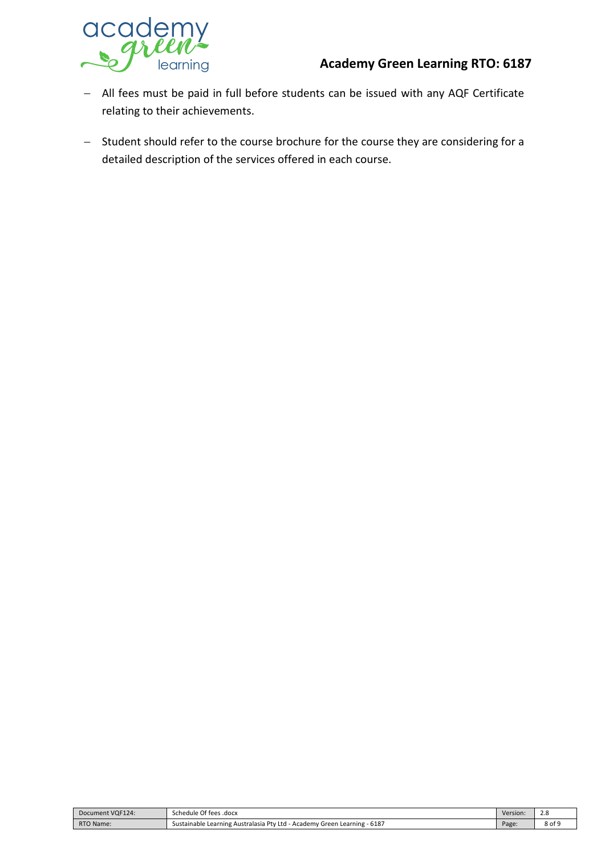### **Academy Green Learning RTO: 6187**



- − All fees must be paid in full before students can be issued with any AQF Certificate relating to their achievements.
- − Student should refer to the course brochure for the course they are considering for a detailed description of the services offered in each course.

| Document VQF124: | Schedule Of fees .docx                                                                      | Version: | z.o<br>__ |
|------------------|---------------------------------------------------------------------------------------------|----------|-----------|
| RTO Name:        | $-6187$<br>- Sustainable Learning Australasia Pty Ltd<br>· Academy<br>' Green<br>ı Learning | Page:    | 8 of s    |